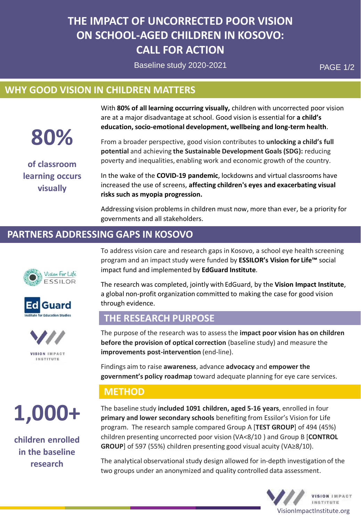# **THE IMPACT OF UNCORRECTED POOR VISION ON SCHOOL-AGED CHILDREN IN KOSOVO: CALL FOR ACTION**

Baseline study 2020-2021 **PAGE 1/2** 

### **WHY GOOD VISION IN CHILDREN MATTERS**



**of classroom learning occurs visually**

With **80% of all learning occurring visually,** children with uncorrected poor vision are at a major disadvantage at school. Good vision is essential for **a child's education, socio-emotional development, wellbeing and long-term health**.

From a broader perspective, good vision contributes to **unlocking a child's full potential** and achieving **the Sustainable Development Goals (SDG):** reducing poverty and inequalities, enabling work and economic growth of the country.

In the wake of the **COVID-19 pandemic**, lockdowns and virtual classrooms have increased the use of screens, **affecting children's eyes and exacerbating visual risks such as myopia progression.**

Addressing vision problems in children must now, more than ever, be a priority for governments and all stakeholders.

#### **PARTNERS ADDRESSING GAPS IN KOSOVO**







**VISION IMPACT** INSTITUTE



**children enrolled in the baseline research**

To address vision care and research gaps in Kosovo, a school eye health screening program and an impact study were funded by **ESSILOR's Vision for Life™** social impact fund and implemented by **EdGuard Institute**.

The research was completed, jointly with EdGuard, by the **Vision Impact Institute**, a global non-profit organization committed to making the case for good vision through evidence.

# **THE RESEARCH PURPOSE**

The purpose of the research was to assess the **impact poor vision has on children before the provision of optical correction** (baseline study) and measure the **improvements post-intervention** (end-line).

Findings aim to raise **awareness**, advance **advocacy** and **empower the government's policy roadmap** toward adequate planning for eye care services.

#### **METHOD**

The baseline study **included 1091 children, aged 5-16 years**, enrolled in four **primary and lower secondary schools** benefiting from Essilor's Vision for Life program. The research sample compared Group A [**TEST GROUP**] of 494 (45%) children presenting uncorrected poor vision (VA<8/10 ) and Group B [**CONTROL GROUP**] of 597 (55%) children presenting good visual acuity (VA≥8/10).

The analytical observational study design allowed for in-depth investigation of the two groups under an anonymized and quality controlled data assessment.